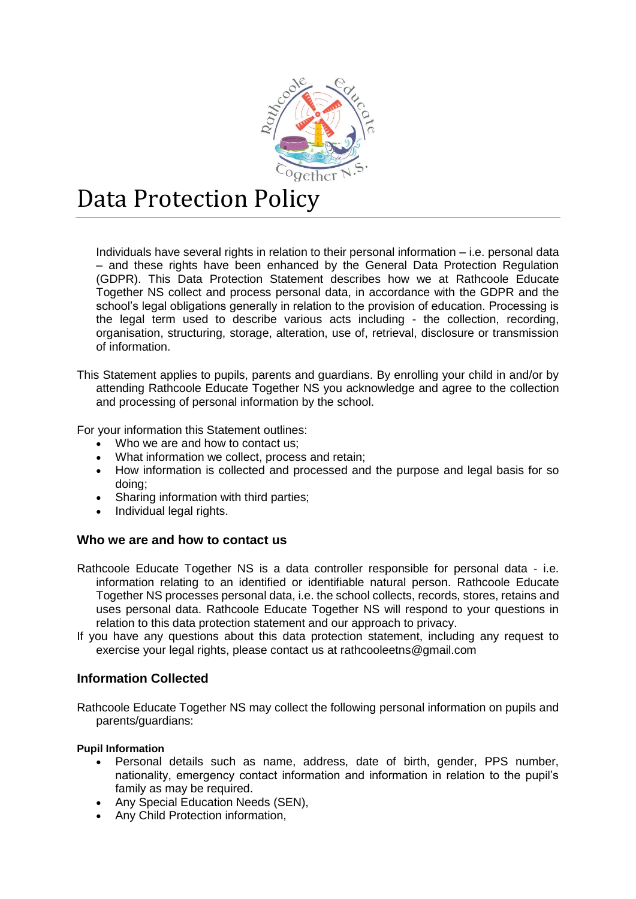

# Data Protection Policy

Individuals have several rights in relation to their personal information – i.e. personal data – and these rights have been enhanced by the General Data Protection Regulation (GDPR). This Data Protection Statement describes how we at Rathcoole Educate Together NS collect and process personal data, in accordance with the GDPR and the school's legal obligations generally in relation to the provision of education. Processing is the legal term used to describe various acts including - the collection, recording, organisation, structuring, storage, alteration, use of, retrieval, disclosure or transmission of information.

This Statement applies to pupils, parents and guardians. By enrolling your child in and/or by attending Rathcoole Educate Together NS you acknowledge and agree to the collection and processing of personal information by the school.

For your information this Statement outlines:

- Who we are and how to contact us:
- What information we collect, process and retain;
- How information is collected and processed and the purpose and legal basis for so doing;
- Sharing information with third parties;
- Individual legal rights.

#### **Who we are and how to contact us**

- Rathcoole Educate Together NS is a data controller responsible for personal data i.e. information relating to an identified or identifiable natural person. Rathcoole Educate Together NS processes personal data, i.e. the school collects, records, stores, retains and uses personal data. Rathcoole Educate Together NS will respond to your questions in relation to this data protection statement and our approach to privacy.
- If you have any questions about this data protection statement, including any request to exercise your legal rights, please contact us at rathcooleetns@gmail.com

#### **Information Collected**

Rathcoole Educate Together NS may collect the following personal information on pupils and parents/guardians:

#### **Pupil Information**

- Personal details such as name, address, date of birth, gender, PPS number, nationality, emergency contact information and information in relation to the pupil's family as may be required.
- Any Special Education Needs (SEN),
- Any Child Protection information,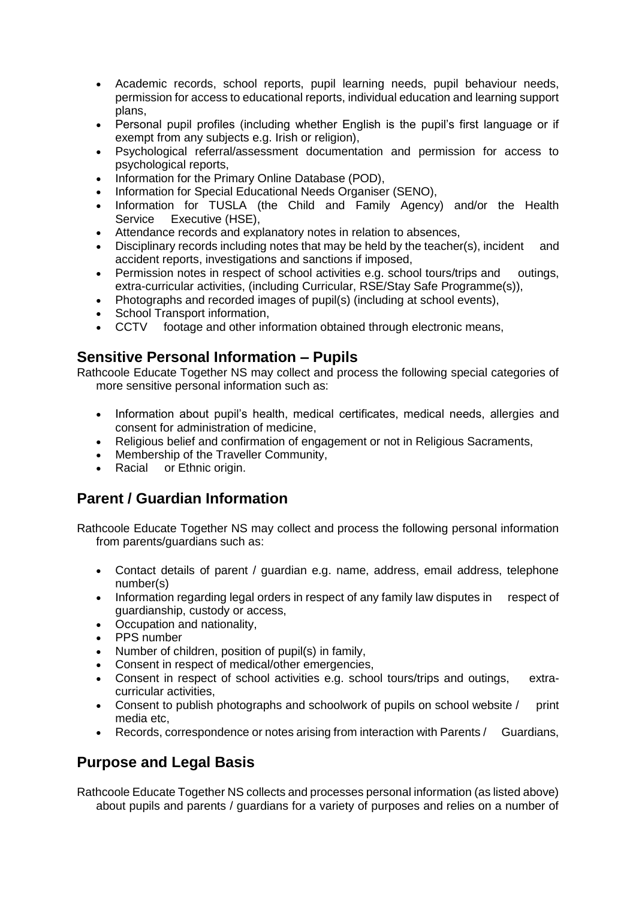- Academic records, school reports, pupil learning needs, pupil behaviour needs, permission for access to educational reports, individual education and learning support plans,
- Personal pupil profiles (including whether English is the pupil's first language or if exempt from any subjects e.g. Irish or religion).
- Psychological referral/assessment documentation and permission for access to psychological reports,
- Information for the Primary Online Database (POD),
- Information for Special Educational Needs Organiser (SENO),
- Information for TUSLA (the Child and Family Agency) and/or the Health Service Executive (HSE),
- Attendance records and explanatory notes in relation to absences,
- Disciplinary records including notes that may be held by the teacher(s), incident and accident reports, investigations and sanctions if imposed,
- Permission notes in respect of school activities e.g. school tours/trips and outings, extra-curricular activities, (including Curricular, RSE/Stay Safe Programme(s)),
- Photographs and recorded images of pupil(s) (including at school events),
- School Transport information,
- CCTV footage and other information obtained through electronic means,

## **Sensitive Personal Information – Pupils**

Rathcoole Educate Together NS may collect and process the following special categories of more sensitive personal information such as:

- Information about pupil's health, medical certificates, medical needs, allergies and consent for administration of medicine,
- Religious belief and confirmation of engagement or not in Religious Sacraments,
- Membership of the Traveller Community,
- Racial or Ethnic origin.

# **Parent / Guardian Information**

Rathcoole Educate Together NS may collect and process the following personal information from parents/guardians such as:

- Contact details of parent / guardian e.g. name, address, email address, telephone number(s)
- Information regarding legal orders in respect of any family law disputes in respect of guardianship, custody or access,
- Occupation and nationality,
- PPS number
- Number of children, position of pupil(s) in family,
- Consent in respect of medical/other emergencies,
- Consent in respect of school activities e.g. school tours/trips and outings, extracurricular activities,
- Consent to publish photographs and schoolwork of pupils on school website / print media etc,
- Records, correspondence or notes arising from interaction with Parents / Guardians,

# **Purpose and Legal Basis**

Rathcoole Educate Together NS collects and processes personal information (as listed above) about pupils and parents / guardians for a variety of purposes and relies on a number of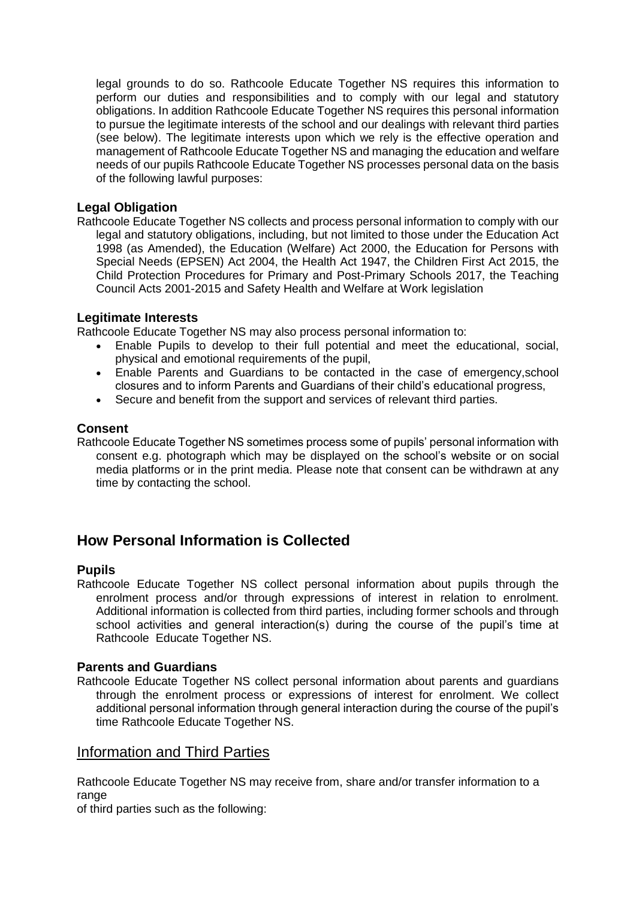legal grounds to do so. Rathcoole Educate Together NS requires this information to perform our duties and responsibilities and to comply with our legal and statutory obligations. In addition Rathcoole Educate Together NS requires this personal information to pursue the legitimate interests of the school and our dealings with relevant third parties (see below). The legitimate interests upon which we rely is the effective operation and management of Rathcoole Educate Together NS and managing the education and welfare needs of our pupils Rathcoole Educate Together NS processes personal data on the basis of the following lawful purposes:

#### **Legal Obligation**

Rathcoole Educate Together NS collects and process personal information to comply with our legal and statutory obligations, including, but not limited to those under the Education Act 1998 (as Amended), the Education (Welfare) Act 2000, the Education for Persons with Special Needs (EPSEN) Act 2004, the Health Act 1947, the Children First Act 2015, the Child Protection Procedures for Primary and Post-Primary Schools 2017, the Teaching Council Acts 2001-2015 and Safety Health and Welfare at Work legislation

#### **Legitimate Interests**

Rathcoole Educate Together NS may also process personal information to:

- Enable Pupils to develop to their full potential and meet the educational, social, physical and emotional requirements of the pupil,
- Enable Parents and Guardians to be contacted in the case of emergency,school closures and to inform Parents and Guardians of their child's educational progress,
- Secure and benefit from the support and services of relevant third parties.

#### **Consent**

Rathcoole Educate Together NS sometimes process some of pupils' personal information with consent e.g. photograph which may be displayed on the school's website or on social media platforms or in the print media. Please note that consent can be withdrawn at any time by contacting the school.

# **How Personal Information is Collected**

#### **Pupils**

Rathcoole Educate Together NS collect personal information about pupils through the enrolment process and/or through expressions of interest in relation to enrolment. Additional information is collected from third parties, including former schools and through school activities and general interaction(s) during the course of the pupil's time at Rathcoole Educate Together NS.

#### **Parents and Guardians**

Rathcoole Educate Together NS collect personal information about parents and guardians through the enrolment process or expressions of interest for enrolment. We collect additional personal information through general interaction during the course of the pupil's time Rathcoole Educate Together NS.

## Information and Third Parties

Rathcoole Educate Together NS may receive from, share and/or transfer information to a range

of third parties such as the following: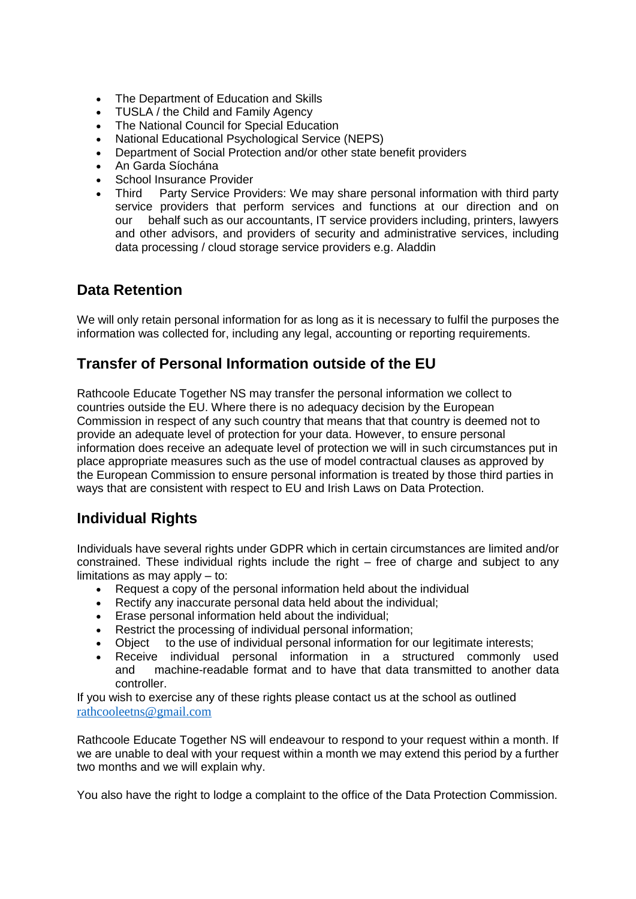- The Department of Education and Skills
- TUSLA / the Child and Family Agency
- The National Council for Special Education
- National Educational Psychological Service (NEPS)
- Department of Social Protection and/or other state benefit providers
- An Garda Síochána
- School Insurance Provider
- Third Party Service Providers: We may share personal information with third party service providers that perform services and functions at our direction and on our behalf such as our accountants, IT service providers including, printers, lawyers and other advisors, and providers of security and administrative services, including data processing / cloud storage service providers e.g. Aladdin

## **Data Retention**

We will only retain personal information for as long as it is necessary to fulfil the purposes the information was collected for, including any legal, accounting or reporting requirements.

## **Transfer of Personal Information outside of the EU**

Rathcoole Educate Together NS may transfer the personal information we collect to countries outside the EU. Where there is no adequacy decision by the European Commission in respect of any such country that means that that country is deemed not to provide an adequate level of protection for your data. However, to ensure personal information does receive an adequate level of protection we will in such circumstances put in place appropriate measures such as the use of model contractual clauses as approved by the European Commission to ensure personal information is treated by those third parties in ways that are consistent with respect to EU and Irish Laws on Data Protection.

# **Individual Rights**

Individuals have several rights under GDPR which in certain circumstances are limited and/or constrained. These individual rights include the right  $-$  free of charge and subject to any limitations as may apply – to:

- Request a copy of the personal information held about the individual
- Rectify any inaccurate personal data held about the individual;
- Erase personal information held about the individual;
- Restrict the processing of individual personal information;
- Object to the use of individual personal information for our legitimate interests;
- Receive individual personal information in a structured commonly used and machine-readable format and to have that data transmitted to another data controller.

If you wish to exercise any of these rights please contact us at the school as outlined [rathcooleetns@gmail.com](mailto:rathcooleetns@gmail.com)

Rathcoole Educate Together NS will endeavour to respond to your request within a month. If we are unable to deal with your request within a month we may extend this period by a further two months and we will explain why.

You also have the right to lodge a complaint to the office of the Data Protection Commission.